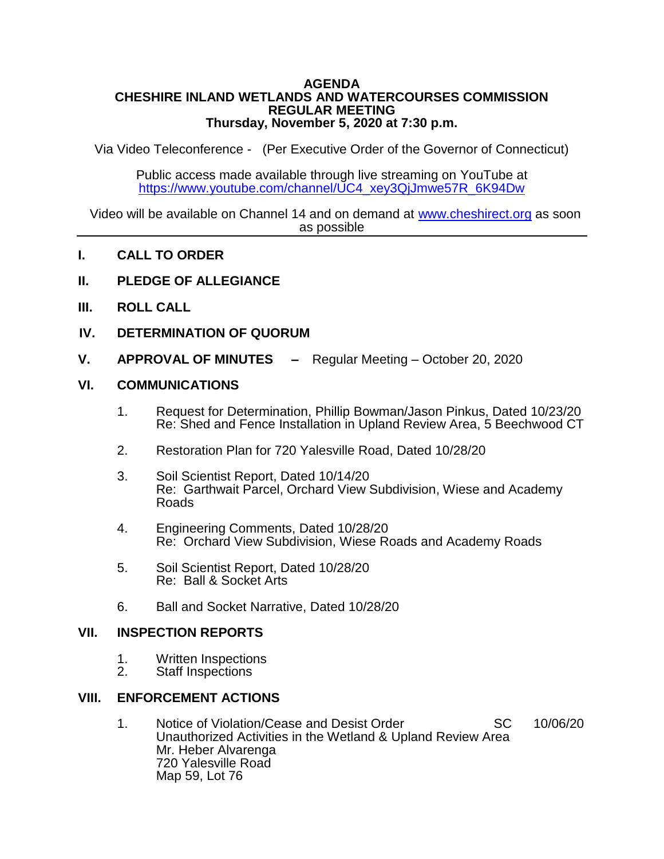#### **AGENDA CHESHIRE INLAND WETLANDS AND WATERCOURSES COMMISSION REGULAR MEETING Thursday, November 5, 2020 at 7:30 p.m.**

Via Video Teleconference - (Per Executive Order of the Governor of Connecticut)

Public access made available through live streaming on YouTube at [https://www.youtube.com/channel/UC4\\_xey3QjJmwe57R\\_6K94Dw](https://www.youtube.com/channel/UC4_xey3QjJmwe57R_6K94Dw)

Video will be available on Channel 14 and on demand at [www.cheshirect.org](http://www.cheshirect.org/) as soon as possible

- **I. CALL TO ORDER**
- **II. PLEDGE OF ALLEGIANCE**
- **III. ROLL CALL**
- **IV. DETERMINATION OF QUORUM**
- **V. APPROVAL OF MINUTES –** Regular Meeting October 20, 2020

### **VI. COMMUNICATIONS**

- 1. Request for Determination, Phillip Bowman/Jason Pinkus, Dated 10/23/20 Re: Shed and Fence Installation in Upland Review Area, 5 Beechwood CT
- 2. Restoration Plan for 720 Yalesville Road, Dated 10/28/20
- 3. Soil Scientist Report, Dated 10/14/20 Re: Garthwait Parcel, Orchard View Subdivision, Wiese and Academy Roads
- 4. Engineering Comments, Dated 10/28/20 Re: Orchard View Subdivision, Wiese Roads and Academy Roads
- 5. Soil Scientist Report, Dated 10/28/20 Re: Ball & Socket Arts
- 6. Ball and Socket Narrative, Dated 10/28/20

## **VII. INSPECTION REPORTS**

- 1. Written Inspections<br>2. Staff Inspections
- Staff Inspections

## **VIII. ENFORCEMENT ACTIONS**

1. Notice of Violation/Cease and Desist Order SC 10/06/20 Unauthorized Activities in the Wetland & Upland Review Area Mr. Heber Alvarenga 720 Yalesville Road Map 59, Lot 76